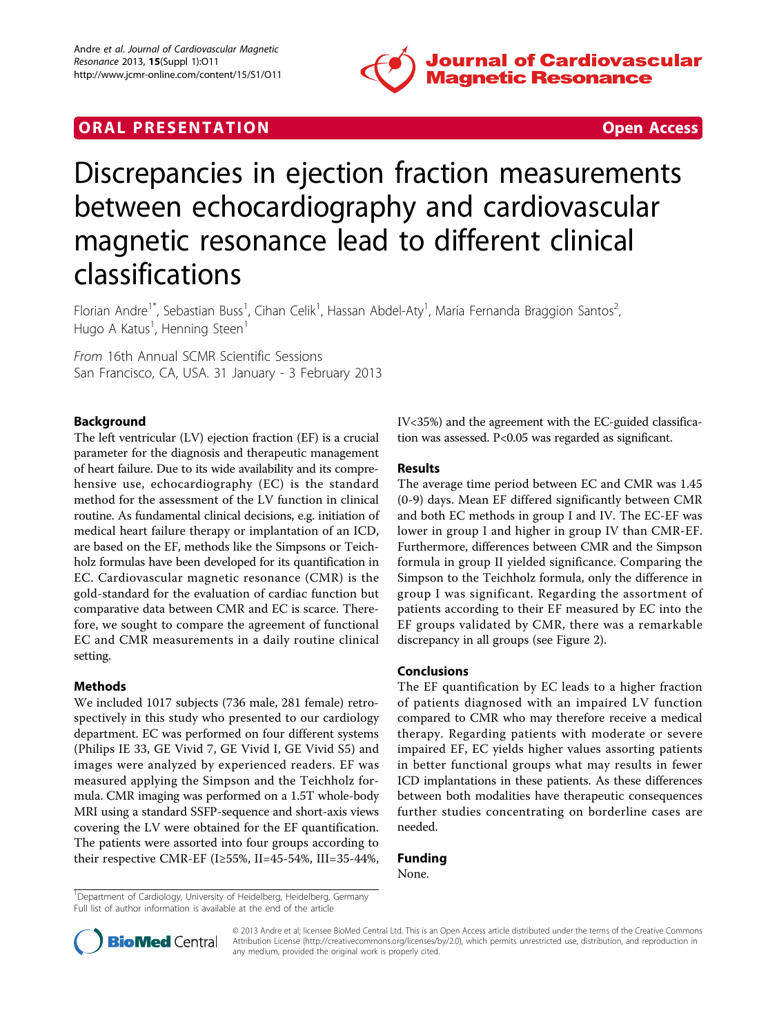

## **ORAL PRESENTATION CONSUMING ACCESS**



# Discrepancies in ejection fraction measurements between echocardiography and cardiovascular magnetic resonance lead to different clinical classifications

Florian Andre<sup>1\*</sup>, Sebastian Buss<sup>1</sup>, Cihan Celik<sup>1</sup>, Hassan Abdel-Aty<sup>1</sup>, Maria Fernanda Braggion Santos<sup>2</sup> , Hugo A Katus<sup>1</sup>, Henning Steen<sup>1</sup>

From 16th Annual SCMR Scientific Sessions San Francisco, CA, USA. 31 January - 3 February 2013

#### Background

The left ventricular (LV) ejection fraction (EF) is a crucial parameter for the diagnosis and therapeutic management of heart failure. Due to its wide availability and its comprehensive use, echocardiography (EC) is the standard method for the assessment of the LV function in clinical routine. As fundamental clinical decisions, e.g. initiation of medical heart failure therapy or implantation of an ICD, are based on the EF, methods like the Simpsons or Teichholz formulas have been developed for its quantification in EC. Cardiovascular magnetic resonance (CMR) is the gold-standard for the evaluation of cardiac function but comparative data between CMR and EC is scarce. Therefore, we sought to compare the agreement of functional EC and CMR measurements in a daily routine clinical setting.

#### Methods

We included 1017 subjects (736 male, 281 female) retrospectively in this study who presented to our cardiology department. EC was performed on four different systems (Philips IE 33, GE Vivid 7, GE Vivid I, GE Vivid S5) and images were analyzed by experienced readers. EF was measured applying the Simpson and the Teichholz formula. CMR imaging was performed on a 1.5T whole-body MRI using a standard SSFP-sequence and short-axis views covering the LV were obtained for the EF quantification. The patients were assorted into four groups according to their respective CMR-EF (I≥55%, II=45-54%, III=35-44%, IV<35%) and the agreement with the EC-guided classification was assessed. P<0.05 was regarded as significant.

#### Results

The average time period between EC and CMR was 1.45 (0-9) days. Mean EF differed significantly between CMR and both EC methods in group I and IV. The EC-EF was lower in group I and higher in group IV than CMR-EF. Furthermore, differences between CMR and the Simpson formula in group II yielded significance. Comparing the Simpson to the Teichholz formula, only the difference in group I was significant. Regarding the assortment of patients according to their EF measured by EC into the EF groups validated by CMR, there was a remarkable discrepancy in all groups (see Figure [2\)](#page-1-0).

#### Conclusions

The EF quantification by EC leads to a higher fraction of patients diagnosed with an impaired LV function compared to CMR who may therefore receive a medical therapy. Regarding patients with moderate or severe impaired EF, EC yields higher values assorting patients in better functional groups what may results in fewer ICD implantations in these patients. As these differences between both modalities have therapeutic consequences further studies concentrating on borderline cases are needed.

### Funding

None.

<sup>1</sup>Department of Cardiology, University of Heidelberg, Heidelberg, Germany Full list of author information is available at the end of the article



© 2013 Andre et al; licensee BioMed Central Ltd. This is an Open Access article distributed under the terms of the Creative Commons Attribution License [\(http://creativecommons.org/licenses/by/2.0](http://creativecommons.org/licenses/by/2.0)), which permits unrestricted use, distribution, and reproduction in any medium, provided the original work is properly cited.